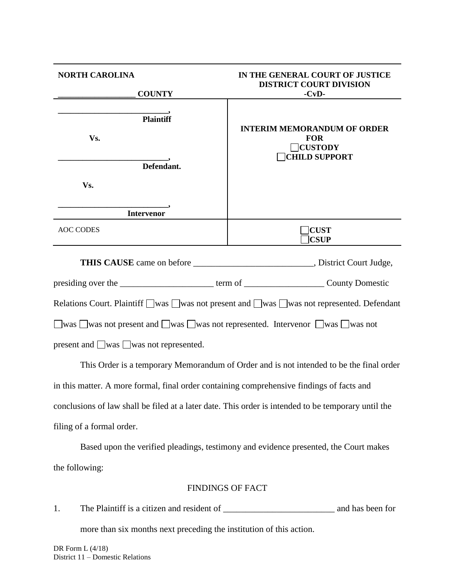| <b>NORTH CAROLINA</b><br><b>COUNTY</b>      | IN THE GENERAL COURT OF JUSTICE<br><b>DISTRICT COURT DIVISION</b><br>$-CvD-$               |
|---------------------------------------------|--------------------------------------------------------------------------------------------|
| Plaintiff <sup>*</sup><br>Vs.<br>Defendant. | <b>INTERIM MEMORANDUM OF ORDER</b><br><b>FOR</b><br>$\Box$ CUSTODY<br><b>CHILD SUPPORT</b> |
| Vs.                                         |                                                                                            |
| <b>Intervenor</b><br><b>AOC CODES</b>       | <b>CUST</b><br><b>CSUP</b>                                                                 |
|                                             | THIS CAUSE came on before ______________________________, District Court Judge,            |
|                                             |                                                                                            |
|                                             | Relations Court. Plaintiff □was □was not present and □was □was not represented. Defendant  |
|                                             | was was not present and was was not represented. Intervenor was was not                    |

present and  $\Box$ was  $\Box$ was not represented.

This Order is a temporary Memorandum of Order and is not intended to be the final order in this matter. A more formal, final order containing comprehensive findings of facts and conclusions of law shall be filed at a later date. This order is intended to be temporary until the filing of a formal order.

Based upon the verified pleadings, testimony and evidence presented, the Court makes the following:

## FINDINGS OF FACT

1. The Plaintiff is a citizen and resident of \_\_\_\_\_\_\_\_\_\_\_\_\_\_\_\_\_\_\_\_\_\_\_\_\_ and has been for more than six months next preceding the institution of this action.

DR Form  $L$  (4/18) District 11 – Domestic Relations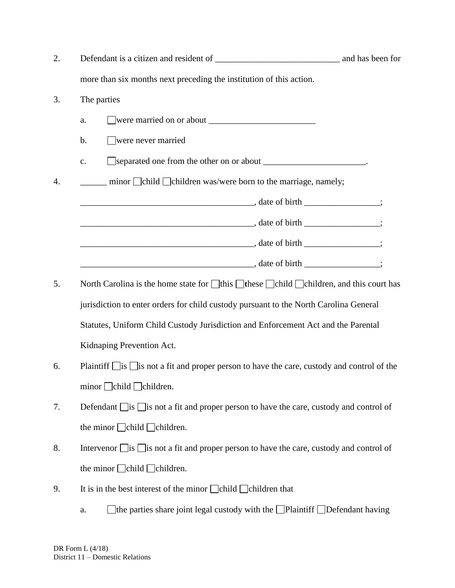| 2. |                                                                                                                |  |
|----|----------------------------------------------------------------------------------------------------------------|--|
|    | more than six months next preceding the institution of this action.                                            |  |
| 3. | The parties                                                                                                    |  |
|    | a.                                                                                                             |  |
|    | $\Box$ were never married<br>b.                                                                                |  |
|    | c.                                                                                                             |  |
| 4. | <u>__</u> ____ minor □ child □ children was/were born to the marriage, namely;                                 |  |
|    |                                                                                                                |  |
|    | $\frac{1}{2}$ , date of birth $\frac{1}{2}$ ;                                                                  |  |
|    | $\frac{1}{2}$ , date of birth $\frac{1}{2}$ ;                                                                  |  |
|    | $\frac{1}{2}$ , date of birth $\frac{1}{2}$                                                                    |  |
| 5. | North Carolina is the home state for $\Box$ this $\Box$ these $\Box$ child $\Box$ children, and this court has |  |
|    | jurisdiction to enter orders for child custody pursuant to the North Carolina General                          |  |
|    | Statutes, Uniform Child Custody Jurisdiction and Enforcement Act and the Parental                              |  |
|    | Kidnaping Prevention Act.                                                                                      |  |
| 6. | Plaintiff $\Box$ is $\Box$ is not a fit and proper person to have the care, custody and control of the         |  |
|    | $minor$ $\Box$ child $\Box$ children.                                                                          |  |
| 7. | Defendant $\Box$ is $\Box$ is not a fit and proper person to have the care, custody and control of             |  |
|    | the minor $\Box$ child $\Box$ children.                                                                        |  |
| 8. | Intervenor $\Box$ is $\Box$ is not a fit and proper person to have the care, custody and control of            |  |
|    | the minor $\Box$ child $\Box$ children.                                                                        |  |
| 9. | It is in the best interest of the minor $\Box$ child $\Box$ children that                                      |  |
|    | $\Box$ the parties share joint legal custody with the $\Box$ Plaintiff $\Box$ Defendant having<br>a.           |  |

DR Form L (4/18) District 11 – Domestic Relations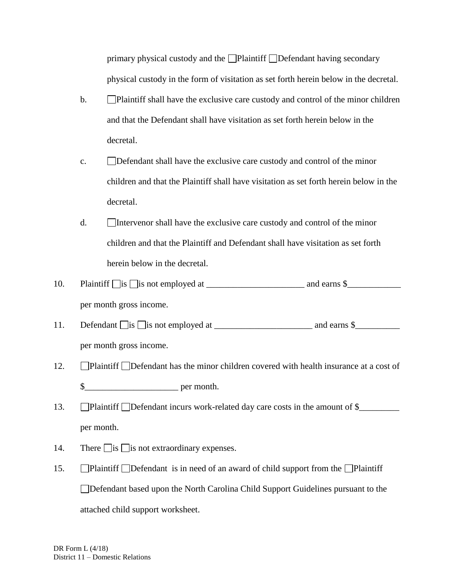primary physical custody and the  $\Box$ Plaintiff  $\Box$ Defendant having secondary physical custody in the form of visitation as set forth herein below in the decretal.

- b. Plaintiff shall have the exclusive care custody and control of the minor children and that the Defendant shall have visitation as set forth herein below in the decretal.
- c. Defendant shall have the exclusive care custody and control of the minor children and that the Plaintiff shall have visitation as set forth herein below in the decretal.
- d. Intervenor shall have the exclusive care custody and control of the minor children and that the Plaintiff and Defendant shall have visitation as set forth herein below in the decretal.
- 10. Plaintiff is is not employed at \_\_\_\_\_\_\_\_\_\_\_\_\_\_\_\_\_\_\_\_\_\_ and earns \$\_\_\_\_\_\_\_\_\_\_\_\_ per month gross income.
- 11. Defendant is is not employed at \_\_\_\_\_\_\_\_\_\_\_\_\_\_\_\_\_\_\_\_\_\_ and earns \$\_\_\_\_\_\_\_\_\_\_ per month gross income.
- 12. **Plaintiff Defendant has the minor children covered with health insurance at a cost of** \$\_\_\_\_\_\_\_\_\_\_\_\_\_\_\_\_\_\_\_\_\_ per month.
- 13. Plaintiff Defendant incurs work-related day care costs in the amount of  $\frac{1}{2}$ per month.
- 14. There  $\Box$  is  $\Box$  is not extraordinary expenses.
- 15. Plaintiff Defendant is in need of an award of child support from the Plaintiff Defendant based upon the North Carolina Child Support Guidelines pursuant to the attached child support worksheet.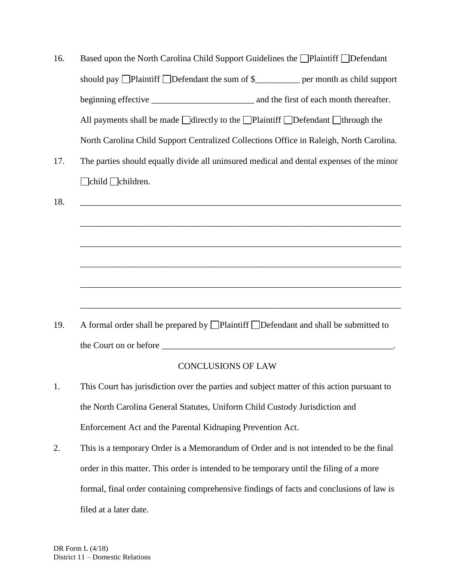| 16. | Based upon the North Carolina Child Support Guidelines the □Plaintiff □Defendant                       |  |  |  |  |
|-----|--------------------------------------------------------------------------------------------------------|--|--|--|--|
|     | should pay $\Box$ Plaintiff $\Box$ Defendant the sum of \$                                             |  |  |  |  |
|     | and the first of each month thereafter.                                                                |  |  |  |  |
|     | All payments shall be made $\Box$ directly to the $\Box$ Plaintiff $\Box$ Defendant $\Box$ through the |  |  |  |  |
|     | North Carolina Child Support Centralized Collections Office in Raleigh, North Carolina.                |  |  |  |  |

17. The parties should equally divide all uninsured medical and dental expenses of the minor **Example 1** Children.

prepared by  $\Box$  Plaintiff  $\Box$ the Court on or before \_\_\_\_\_\_\_\_\_\_\_\_\_\_\_\_\_\_\_\_\_\_\_\_\_\_\_\_\_\_\_\_\_\_\_\_\_\_\_\_\_\_\_\_\_\_\_\_\_\_\_\_.

## CONCLUSIONS OF LAW

- 1. This Court has jurisdiction over the parties and subject matter of this action pursuant to the North Carolina General Statutes, Uniform Child Custody Jurisdiction and Enforcement Act and the Parental Kidnaping Prevention Act.
- 2. This is a temporary Order is a Memorandum of Order and is not intended to be the final order in this matter. This order is intended to be temporary until the filing of a more formal, final order containing comprehensive findings of facts and conclusions of law is filed at a later date.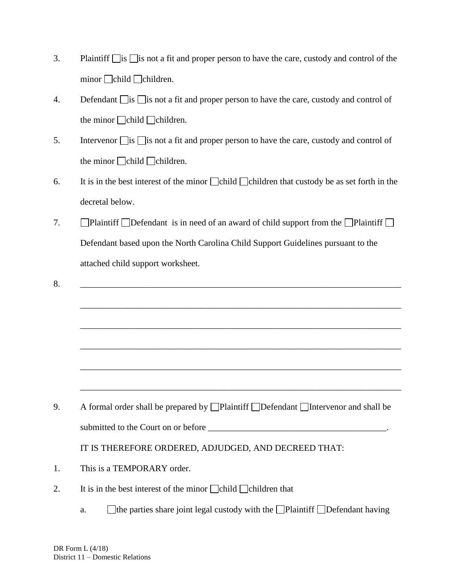- 3. Plaintiff  $\Box$  is  $\Box$  is not a fit and proper person to have the care, custody and control of the  $minor$   $\Box$ children.
- 4. Defendant  $\Box$  is  $\Box$  is not a fit and proper person to have the care, custody and control of the minor  $\Box$ children.
- 5. Intervenor  $\Box$  is  $\Box$  is not a fit and proper person to have the care, custody and control of the minor  $\Box$ child  $\Box$ children.
- 6. It is in the best interest of the minor  $\Box$ child  $\Box$ children that custody be as set forth in the decretal below.
- 7.  $\Box$ Plaintiff  $\Box$ Defendant is in need of an award of child support from the  $\Box$ Plaintiff  $\Box$ Defendant based upon the North Carolina Child Support Guidelines pursuant to the attached child support worksheet.

\_\_\_\_\_\_\_\_\_\_\_\_\_\_\_\_\_\_\_\_\_\_\_\_\_\_\_\_\_\_\_\_\_\_\_\_\_\_\_\_\_\_\_\_\_\_\_\_\_\_\_\_\_\_\_\_\_\_\_\_\_\_\_\_\_\_\_\_\_\_\_\_

\_\_\_\_\_\_\_\_\_\_\_\_\_\_\_\_\_\_\_\_\_\_\_\_\_\_\_\_\_\_\_\_\_\_\_\_\_\_\_\_\_\_\_\_\_\_\_\_\_\_\_\_\_\_\_\_\_\_\_\_\_\_\_\_\_\_\_\_\_\_\_\_

\_\_\_\_\_\_\_\_\_\_\_\_\_\_\_\_\_\_\_\_\_\_\_\_\_\_\_\_\_\_\_\_\_\_\_\_\_\_\_\_\_\_\_\_\_\_\_\_\_\_\_\_\_\_\_\_\_\_\_\_\_\_\_\_\_\_\_\_\_\_\_\_

\_\_\_\_\_\_\_\_\_\_\_\_\_\_\_\_\_\_\_\_\_\_\_\_\_\_\_\_\_\_\_\_\_\_\_\_\_\_\_\_\_\_\_\_\_\_\_\_\_\_\_\_\_\_\_\_\_\_\_\_\_\_\_\_\_\_\_\_\_\_\_\_

\_\_\_\_\_\_\_\_\_\_\_\_\_\_\_\_\_\_\_\_\_\_\_\_\_\_\_\_\_\_\_\_\_\_\_\_\_\_\_\_\_\_\_\_\_\_\_\_\_\_\_\_\_\_\_\_\_\_\_\_\_\_\_\_\_\_\_\_\_\_\_\_

 $8.$ 

9. A formal order shall be prepared by  $\Box$  Plaintiff  $\Box$  Defendant  $\Box$  Intervenor and shall be submitted to the Court on or before \_\_\_\_\_\_\_\_\_\_\_\_\_\_\_\_\_\_\_\_\_\_\_\_\_\_\_\_\_\_\_\_\_\_\_\_\_\_\_\_.

IT IS THEREFORE ORDERED, ADJUDGED, AND DECREED THAT:

- 1. This is a TEMPORARY order.
- 2. It is in the best interest of the minor  $\Box$ child  $\Box$ children that
	- a.  $\Box$  the parties share joint legal custody with the  $\Box$  Plaintiff  $\Box$  Defendant having

DR Form L (4/18) District 11 – Domestic Relations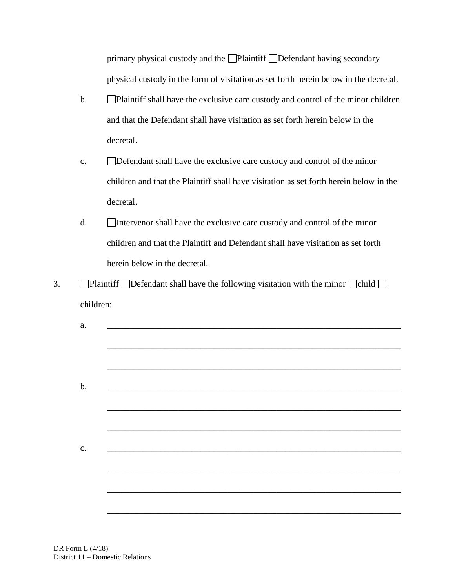primary physical custody and the  $\Box$ Plaintiff  $\Box$ Defendant having secondary physical custody in the form of visitation as set forth herein below in the decretal.

- b. Plaintiff shall have the exclusive care custody and control of the minor children and that the Defendant shall have visitation as set forth herein below in the decretal.
- c. Defendant shall have the exclusive care custody and control of the minor children and that the Plaintiff shall have visitation as set forth herein below in the decretal.
- d. Intervenor shall have the exclusive care custody and control of the minor children and that the Plaintiff and Defendant shall have visitation as set forth herein below in the decretal.
- 3.  $\Box$ Plaintiff  $\Box$ Defendant shall have the following visitation with the minor  $\Box$ child  $\Box$ children:

| a.    | <u> 1980 - Jan James James Santan (j. 1980)</u>           |  |  |
|-------|-----------------------------------------------------------|--|--|
|       |                                                           |  |  |
|       |                                                           |  |  |
| $b$ . |                                                           |  |  |
|       |                                                           |  |  |
|       |                                                           |  |  |
| c.    | <u> 1989 - John Stone, Amerikaansk politiker († 1989)</u> |  |  |
|       |                                                           |  |  |
|       |                                                           |  |  |
|       |                                                           |  |  |
|       |                                                           |  |  |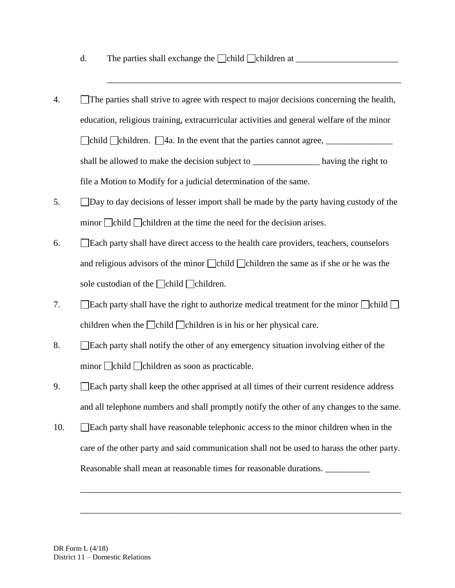- d. The parties shall exchange the  $\Box$ child  $\Box$ children at  $\Box$
- 4. The parties shall strive to agree with respect to major decisions concerning the health, education, religious training, extracurricular activities and general welfare of the minor child children. 4a. In the event that the parties cannot agree, \_\_\_\_\_\_\_\_\_\_\_\_\_\_\_ shall be allowed to make the decision subject to \_\_\_\_\_\_\_\_\_\_\_\_\_\_\_\_\_\_\_\_ having the right to file a Motion to Modify for a judicial determination of the same.

\_\_\_\_\_\_\_\_\_\_\_\_\_\_\_\_\_\_\_\_\_\_\_\_\_\_\_\_\_\_\_\_\_\_\_\_\_\_\_\_\_\_\_\_\_\_\_\_\_\_\_\_\_\_\_\_\_\_\_\_\_\_\_\_\_\_

- 5. Day to day decisions of lesser import shall be made by the party having custody of the minor  $\Box$ child  $\Box$ children at the time the need for the decision arises.
- 6. Each party shall have direct access to the health care providers, teachers, counselors and religious advisors of the minor  $\Box$ child  $\Box$ children the same as if she or he was the sole custodian of the  $\Box$ child  $\Box$ children.
- 7. Each party shall have the right to authorize medical treatment for the minor  $\Box$ child  $\Box$ children when the child children is in his or her physical care.
- 8. Each party shall notify the other of any emergency situation involving either of the minor  $\Box$ child  $\Box$ children as soon as practicable.
- 9. Each party shall keep the other apprised at all times of their current residence address and all telephone numbers and shall promptly notify the other of any changes to the same.
- 10. Each party shall have reasonable telephonic access to the minor children when in the care of the other party and said communication shall not be used to harass the other party. Reasonable shall mean at reasonable times for reasonable durations. \_\_\_\_\_\_\_\_\_\_\_\_

\_\_\_\_\_\_\_\_\_\_\_\_\_\_\_\_\_\_\_\_\_\_\_\_\_\_\_\_\_\_\_\_\_\_\_\_\_\_\_\_\_\_\_\_\_\_\_\_\_\_\_\_\_\_\_\_\_\_\_\_\_\_\_\_\_\_\_\_\_\_\_\_

\_\_\_\_\_\_\_\_\_\_\_\_\_\_\_\_\_\_\_\_\_\_\_\_\_\_\_\_\_\_\_\_\_\_\_\_\_\_\_\_\_\_\_\_\_\_\_\_\_\_\_\_\_\_\_\_\_\_\_\_\_\_\_\_\_\_\_\_\_\_\_\_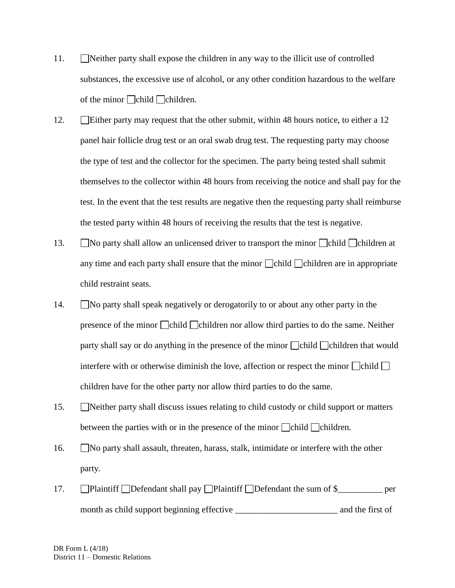- 11. Neither party shall expose the children in any way to the illicit use of controlled substances, the excessive use of alcohol, or any other condition hazardous to the welfare of the minor  $\Box$ children.
- 12. Either party may request that the other submit, within 48 hours notice, to either a 12 panel hair follicle drug test or an oral swab drug test. The requesting party may choose the type of test and the collector for the specimen. The party being tested shall submit themselves to the collector within 48 hours from receiving the notice and shall pay for the test. In the event that the test results are negative then the requesting party shall reimburse the tested party within 48 hours of receiving the results that the test is negative.
- 13. No party shall allow an unlicensed driver to transport the minor  $\Box$ child  $\Box$ children at any time and each party shall ensure that the minor  $\Box$ child  $\Box$ children are in appropriate child restraint seats.
- 14. No party shall speak negatively or derogatorily to or about any other party in the presence of the minor child children nor allow third parties to do the same. Neither party shall say or do anything in the presence of the minor child children that would interfere with or otherwise diminish the love, affection or respect the minor  $\Box$ child  $\Box$ children have for the other party nor allow third parties to do the same.
- 15. Neither party shall discuss issues relating to child custody or child support or matters between the parties with or in the presence of the minor  $\Box$ child  $\Box$ children.
- 16. No party shall assault, threaten, harass, stalk, intimidate or interfere with the other party.
- 17. **Plaintiff Defendant shall pay Plaintiff Defendant the sum of \$\_\_\_\_\_\_\_\_\_\_ per** month as child support beginning effective \_\_\_\_\_\_\_\_\_\_\_\_\_\_\_\_\_\_\_\_\_\_\_ and the first of